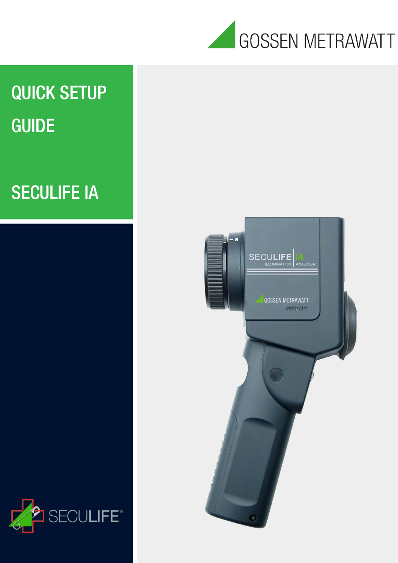

# QUICK SETUP GUIDE

# SECULIFE IA



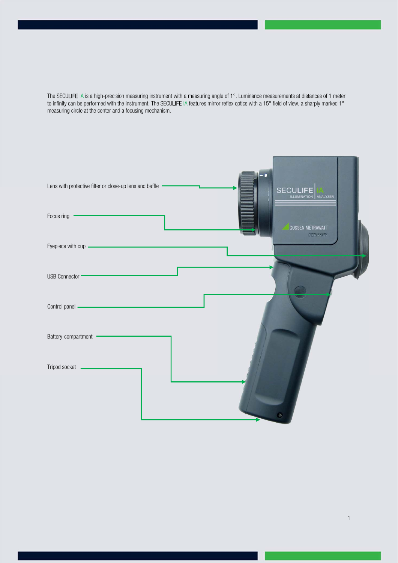The SECULIFE IA is a high-precision measuring instrument with a measuring angle of 1°. Luminance measurements at distances of 1 meter to infinity can be performed with the instrument. The SECULIFE IA features mirror reflex optics with a 15° field of view, a sharply marked 1° measuring circle at the center and a focusing mechanism.

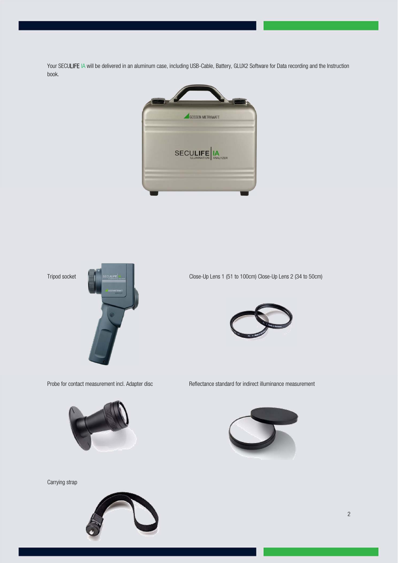Your SECULIFE IA will be delivered in an aluminum case, including USB-Cable, Battery, GLUX2 Software for Data recording and the Instruction book.









Carrying strap



Probe for contact measurement incl. Adapter disc Reflectance standard for indirect illuminance measurement

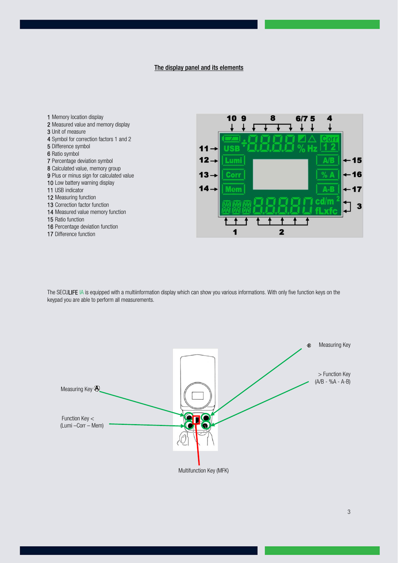The display panel and its elements

1 Memory location display 2 Measured value and memory display 3 Unit of measure 4 Symbol for correction factors 1 and 2 5 Difference symbol 6 Ratio symbol 7 Percentage deviation symbol 8 Calculated value, memory group 9 Plus or minus sign for calculated value 10 Low battery warning display 11 USB indicator 12 Measuring function 13 Correction factor function 14 Measured value memory function 15 Ratio function 16 Percentage deviation function 17 Difference function



The SECULIFE IA is equipped with a multiinformation display which can show you various informations. With only five function keys on the keypad you are able to perform all measurements.

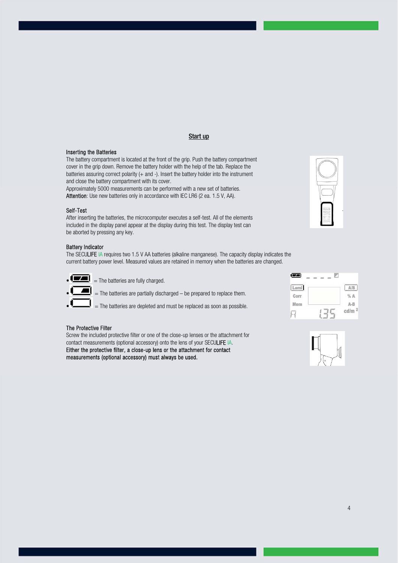### Start up

#### Inserting the Batteries

The battery compartment is located at the front of the grip. Push the battery compartment cover in the grip down. Remove the battery holder with the help of the tab. Replace the batteries assuring correct polarity (+ and -). Insert the battery holder into the instrument and close the battery compartment with its cover.

Approximately 5000 measurements can be performed with a new set of batteries. Attention: Use new batteries only in accordance with IEC LR6 (2 ea. 1.5 V, AA).

#### Self-Test

After inserting the batteries, the microcomputer executes a self-test. All of the elements included in the display panel appear at the display during this test. The display test can be aborted by pressing any key.

#### Battery Indicator

The SECULIFE IA requires two 1.5 V AA batteries (alkaline manganese). The capacity display indicates the current battery power level. Measured values are retained in memory when the batteries are changed.

 $\bullet$   $\bullet$   $\bullet$  The batteries are fully charged.

 $=$  The batteries are partially discharged – be prepared to replace them.

 $=$  The batteries are depleted and must be replaced as soon as possible.

#### The Protective Filter

Screw the included protective filter or one of the close-up lenses or the attachment for contact measurements (optional accessory) onto the lens of your SECULIFE IA. Either the protective filter, a close-up lens or the attachment for contact measurements (optional accessory) must always be used.







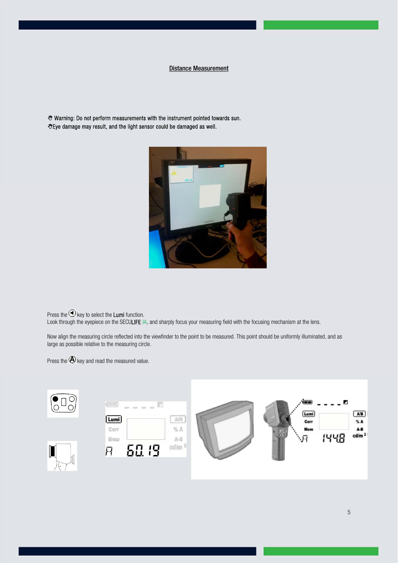# Distance Measurement

 Warning: Do not perform measurements with the instrument pointed towards sun. Eye damage may result, and the light sensor could be damaged as well.



Press the  $\bigodot$  key to select the Lumi function.

Look through the eyepiece on the SECULIFE IA, and sharply focus your measuring field with the focusing mechanism at the lens.

Now align the measuring circle reflected into the viewfinder to the point to be measured. This point should be uniformly illuminated, and as large as possible relative to the measuring circle.

Press the  $\bigcircled{A}$  key and read the measured value.

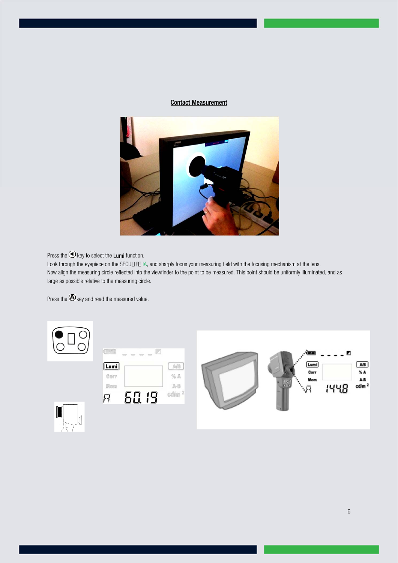# Contact Measurement



Press the  $\bigodot$  key to select the Lumi function.

Look through the eyepiece on the SECULIFE IA, and sharply focus your measuring field with the focusing mechanism at the lens. Now align the measuring circle reflected into the viewfinder to the point to be measured. This point should be uniformly illuminated, and as large as possible relative to the measuring circle.

Press the  $\bigcircled{A}$  key and read the measured value.

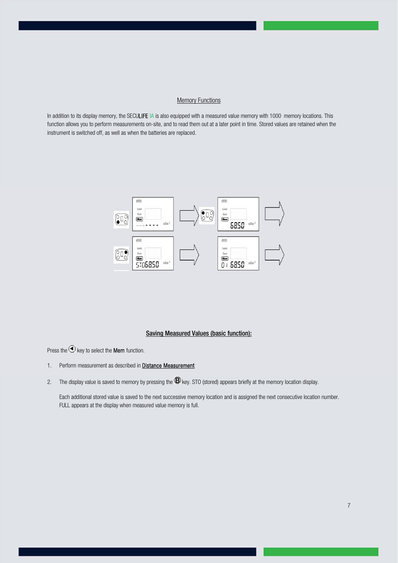# **Memory Functions**

In addition to its display memory, the SECULIFE IA is also equipped with a measured value memory with 1000 memory locations. This function allows you to perform measurements on-site, and to read them out at a later point in time. Stored values are retained when the instrument is switched off, as well as when the batteries are replaced.



# Saving Measured Values (basic function):

Press the  $\bigodot$  key to select the **Mem** function.

- 1. Perform measurement as described in **Distance Measurement**
- 2. The display value is saved to memory by pressing the  $\bigcircled{B}$  key. STO (stored) appears briefly at the memory location display.

Each additional stored value is saved to the next successive memory location and is assigned the next consecutive location number. FULL appears at the display when measured value memory is full.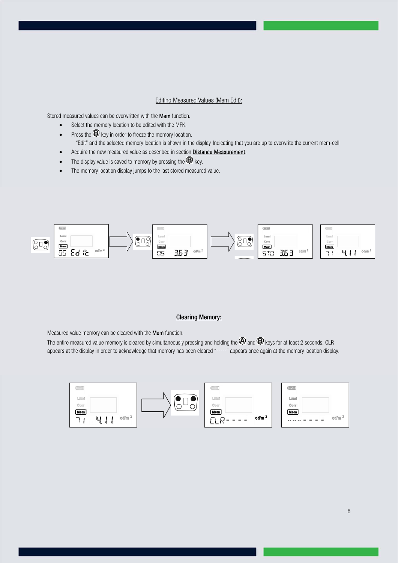# Editing Measured Values (Mem Edit):

Stored measured values can be overwritten with the Mem function.

- Select the memory location to be edited with the MFK.
- Press the  $\bigoplus$  key in order to freeze the memory location. "Edit" and the selected memory location is shown in the display Indicating that you are up to overwrite the current mem-cell
- Acquire the new measured value as described in section **Distance Measurement**.
- The display value is saved to memory by pressing the  $\bigcircled{B}$  key.
- The memory location display jumps to the last stored measured value.



#### Clearing Memory:

Measured value memory can be cleared with the Mem function.

The entire measured value memory is cleared by simultaneously pressing and holding the  $\Phi$  and  $\Phi$  keys for at least 2 seconds. CLR appears at the display in order to acknowledge that memory has been cleared "-----" appears once again at the memory location display.

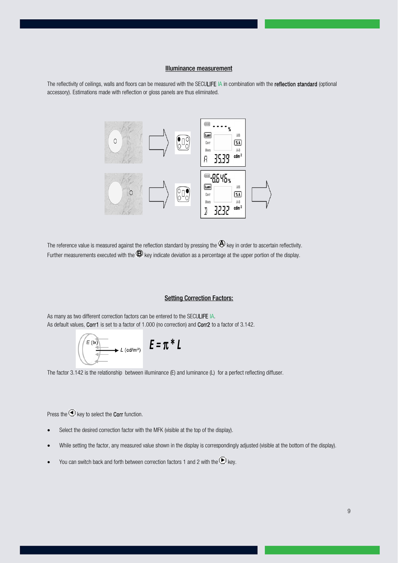#### Illuminance measurement

The reflectivity of ceilings, walls and floors can be measured with the SECULIFE IA in combination with the reflection standard (optional accessory). Estimations made with reflection or gloss panels are thus eliminated.



The reference value is measured against the reflection standard by pressing the  $\bigcirc$  key in order to ascertain reflectivity. Further measurements executed with the  $\bigoplus$  key indicate deviation as a percentage at the upper portion of the display.

#### **Setting Correction Factors:**

As many as two different correction factors can be entered to the SECULIFE IA. As default values, Corr1 is set to a factor of 1.000 (no correction) and Corr2 to a factor of 3.142.

$$
\left(\begin{array}{ccc}\n\epsilon^{(1x)} & \epsilon & \epsilon^{(1x)} \\
\hline\n\end{array}\right) \quad E = \pi^* L
$$

The factor 3.142 is the relationship between illuminance (E) and luminance (L) for a perfect reflecting diffuser.

Press the  $\bigodot$  key to select the Corr function.

- Select the desired correction factor with the MFK (visible at the top of the display).
- While setting the factor, any measured value shown in the display is correspondingly adjusted (visible at the bottom of the display).
- You can switch back and forth between correction factors 1 and 2 with the  $\bigcirc$  key.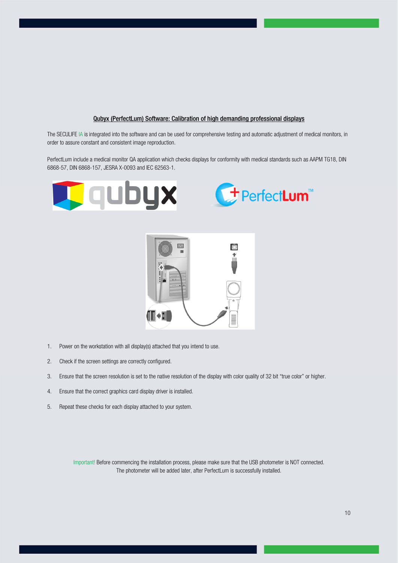#### Qubyx (PerfectLum) Software: Calibration of high demanding professional displays

The SECULIFE IA is integrated into the software and can be used for comprehensive testing and automatic adjustment of medical monitors, in order to assure constant and consistent image reproduction.

PerfectLum include a medical monitor QA application which checks displays for conformity with medical standards such as AAPM TG18, DIN 6868-57, DIN 6868-157, JESRA X-0093 and IEC 62563-1.







- 1. Power on the workstation with all display(s) attached that you intend to use.
- 2. Check if the screen settings are correctly configured.
- 3. Ensure that the screen resolution is set to the native resolution of the display with color quality of 32 bit "true color" or higher.
- 4. Ensure that the correct graphics card display driver is installed.
- 5. Repeat these checks for each display attached to your system.

Important! Before commencing the installation process, please make sure that the USB photometer is NOT connected. The photometer will be added later, after PerfectLum is successfully installed.